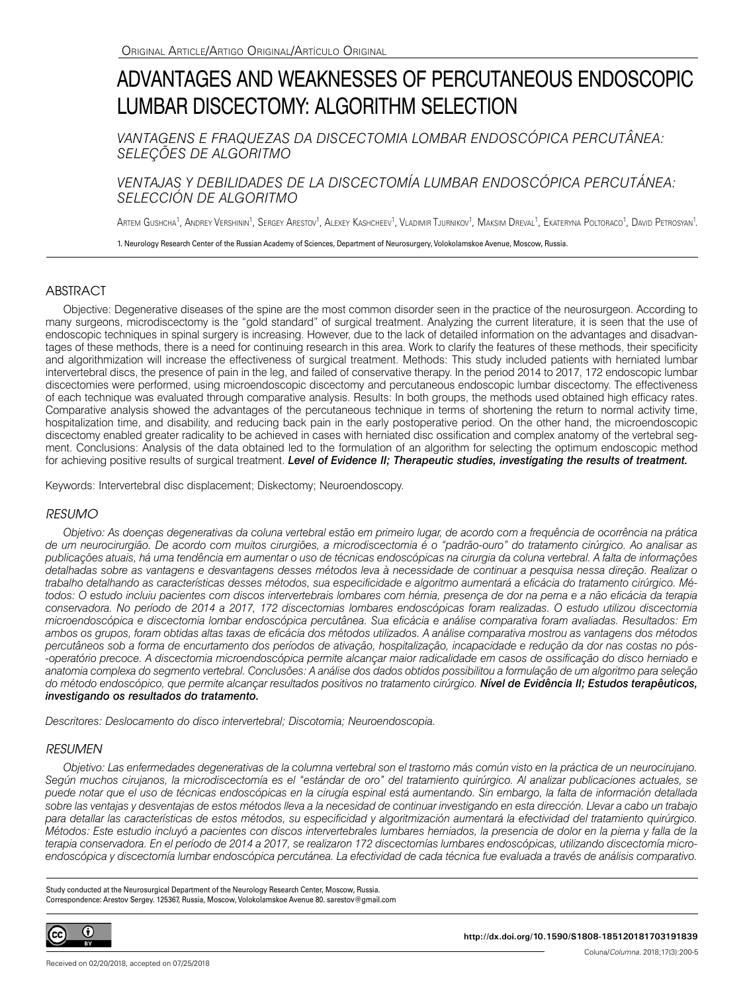# ADVANTAGES AND WEAKNESSES OF PERCUTANEOUS ENDOSCOPIC LUMBAR DISCECTOMY: ALGORITHM SELECTION

*VANTAGENS E FRAQUEZAS DA DISCECTOMIA LOMBAR ENDOSCÓPICA PERCUTÂNEA: SELEÇÕES DE ALGORITMO*

*VENTAJAS Y DEBILIDADES DE LA DISCECTOMÍA LUMBAR ENDOSCÓPICA PERCUTÁNEA: SELECCIÓN DE ALGORITMO* 

Artem Gushcha'', Andrey Vershinin'', Sergey Arestov'', Alexey Kashcheev', Vladimir Tjurnikov'', Maksim Dreval', Ekateryna Poltoraco'', David Petrosyan'.

1. Neurology Research Center of the Russian Academy of Sciences, Department of Neurosurgery, Volokolamskoe Avenue, Moscow, Russia.

# ABSTRACT

Objective: Degenerative diseases of the spine are the most common disorder seen in the practice of the neurosurgeon. According to many surgeons, microdiscectomy is the "gold standard" of surgical treatment. Analyzing the current literature, it is seen that the use of endoscopic techniques in spinal surgery is increasing. However, due to the lack of detailed information on the advantages and disadvantages of these methods, there is a need for continuing research in this area. Work to clarify the features of these methods, their specificity and algorithmization will increase the effectiveness of surgical treatment. Methods: This study included patients with herniated lumbar intervertebral discs, the presence of pain in the leg, and failed of conservative therapy. In the period 2014 to 2017, 172 endoscopic lumbar discectomies were performed, using microendoscopic discectomy and percutaneous endoscopic lumbar discectomy. The effectiveness of each technique was evaluated through comparative analysis. Results: In both groups, the methods used obtained high efficacy rates. Comparative analysis showed the advantages of the percutaneous technique in terms of shortening the return to normal activity time, hospitalization time, and disability, and reducing back pain in the early postoperative period. On the other hand, the microendoscopic discectomy enabled greater radicality to be achieved in cases with herniated disc ossification and complex anatomy of the vertebral segment. Conclusions: Analysis of the data obtained led to the formulation of an algorithm for selecting the optimum endoscopic method for achieving positive results of surgical treatment. *Level of Evidence II; Therapeutic studies, investigating the results of treatment.* 

Keywords: Intervertebral disc displacement; Diskectomy; Neuroendoscopy.

# *RESUMO*

*Objetivo: As doenças degenerativas da coluna vertebral estão em primeiro lugar, de acordo com a frequência de ocorrência na prática de um neurocirurgião. De acordo com muitos cirurgiões, a microdiscectomia é o "padrão-ouro" do tratamento cirúrgico. Ao analisar as publicações atuais, há uma tendência em aumentar o uso de técnicas endoscópicas na cirurgia da coluna vertebral. A falta de informações detalhadas sobre as vantagens e desvantagens desses métodos leva à necessidade de continuar a pesquisa nessa direção. Realizar o trabalho detalhando as características desses métodos, sua especificidade e algoritmo aumentará a eficácia do tratamento cirúrgico. Métodos: O estudo incluiu pacientes com discos intervertebrais lombares com hérnia, presença de dor na perna e a não eficácia da terapia conservadora. No período de 2014 a 2017, 172 discectomias lombares endoscópicas foram realizadas. O estudo utilizou discectomia microendoscópica e discectomia lombar endoscópica percutânea. Sua eficácia e análise comparativa foram avaliadas. Resultados: Em ambos os grupos, foram obtidas altas taxas de eficácia dos métodos utilizados. A análise comparativa mostrou as vantagens dos métodos percutâneos sob a forma de encurtamento dos períodos de ativação, hospitalização, incapacidade e redução da dor nas costas no pós- -operatório precoce. A discectomia microendoscópica permite alcançar maior radicalidade em casos de ossificação do disco herniado e anatomia complexa do segmento vertebral. Conclusões: A análise dos dados obtidos possibilitou a formulação de um algoritmo para seleção do método endoscópico, que permite alcançar resultados positivos no tratamento cirúrgico. Nível de Evidência II; Estudos terapêuticos, investigando os resultados do tratamento.*

*Descritores: Deslocamento do disco intervertebral; Discotomia; Neuroendoscopia.* 

### *RESUMEN*

*Objetivo: Las enfermedades degenerativas de la columna vertebral son el trastorno más común visto en la práctica de un neurocirujano. Según muchos cirujanos, la microdiscectomía es el "estándar de oro" del tratamiento quirúrgico. Al analizar publicaciones actuales, se puede notar que el uso de técnicas endoscópicas en la cirugía espinal está aumentando. Sin embargo, la falta de información detallada sobre las ventajas y desventajas de estos métodos lleva a la necesidad de continuar investigando en esta dirección. Llevar a cabo un trabajo para detallar las características de estos métodos, su especificidad y algoritmización aumentará la efectividad del tratamiento quirúrgico. Métodos: Este estudio incluyó a pacientes con discos intervertebrales lumbares herniados, la presencia de dolor en la pierna y falla de la terapia conservadora. En el período de 2014 a 2017, se realizaron 172 discectomías lumbares endoscópicas, utilizando discectomía microendoscópica y discectomía lumbar endoscópica percutánea. La efectividad de cada técnica fue evaluada a través de análisis comparativo.* 

Study conducted at the Neurosurgical Department of the Neurology Research Center, Moscow, Russia. Correspondence: Arestov Sergey. 125367, Russia, Moscow, Volokolamskoe Avenue 80. sarestov@gmail.com

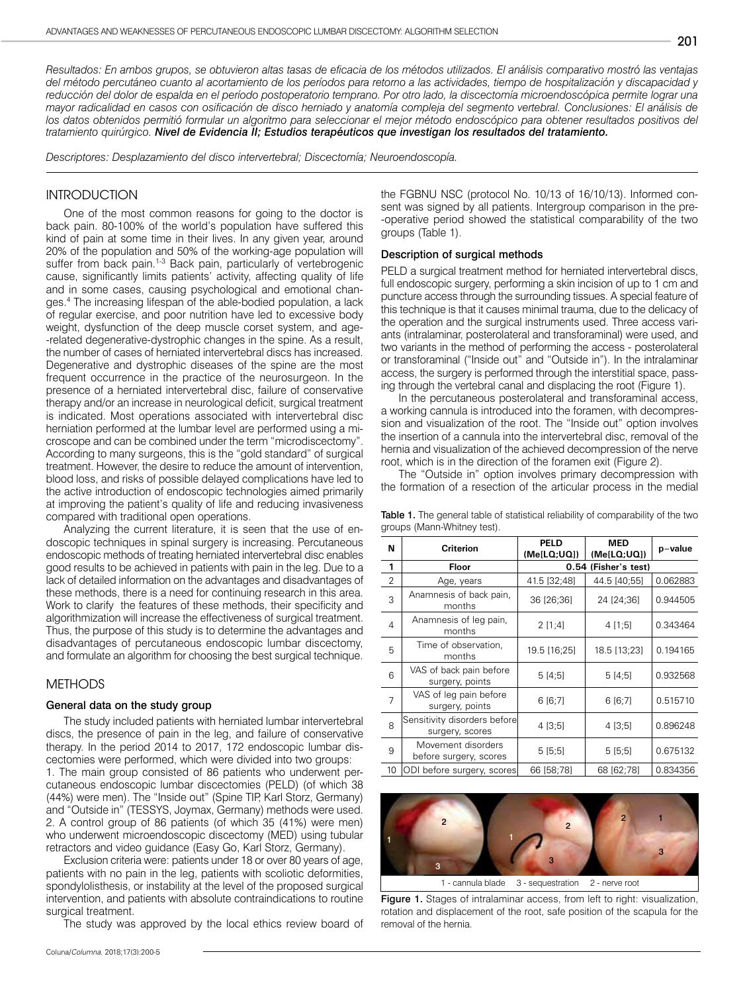*Resultados: En ambos grupos, se obtuvieron altas tasas de eficacia de los métodos utilizados. El análisis comparativo mostró las ventajas del método percutáneo cuanto al acortamiento de los períodos para retorno a las actividades, tiempo de hospitalización y discapacidad y reducción del dolor de espalda en el período postoperatorio temprano. Por otro lado, la discectomía microendoscópica permite lograr una mayor radicalidad en casos con osificación de disco herniado y anatomía compleja del segmento vertebral. Conclusiones: El análisis de*  los datos obtenidos permitió formular un algoritmo para seleccionar el mejor método endoscópico para obtener resultados positivos del *tratamiento quirúrgico. Nivel de Evidencia II; Estudios terapéuticos que investigan los resultados del tratamiento.*

*Descriptores: Desplazamiento del disco intervertebral; Discectomía; Neuroendoscopía.*

## **INTRODUCTION**

One of the most common reasons for going to the doctor is back pain. 80-100% of the world's population have suffered this kind of pain at some time in their lives. In any given year, around 20% of the population and 50% of the working-age population will suffer from back pain.<sup>1-3</sup> Back pain, particularly of vertebrogenic cause, significantly limits patients' activity, affecting quality of life and in some cases, causing psychological and emotional changes.4 The increasing lifespan of the able-bodied population, a lack of regular exercise, and poor nutrition have led to excessive body weight, dysfunction of the deep muscle corset system, and age- -related degenerative-dystrophic changes in the spine. As a result, the number of cases of herniated intervertebral discs has increased. Degenerative and dystrophic diseases of the spine are the most frequent occurrence in the practice of the neurosurgeon. In the presence of a herniated intervertebral disc, failure of conservative therapy and/or an increase in neurological deficit, surgical treatment is indicated. Most operations associated with intervertebral disc herniation performed at the lumbar level are performed using a microscope and can be combined under the term "microdiscectomy". According to many surgeons, this is the "gold standard" of surgical treatment. However, the desire to reduce the amount of intervention, blood loss, and risks of possible delayed complications have led to the active introduction of endoscopic technologies aimed primarily at improving the patient's quality of life and reducing invasiveness compared with traditional open operations.

Analyzing the current literature, it is seen that the use of endoscopic techniques in spinal surgery is increasing. Percutaneous endoscopic methods of treating herniated intervertebral disc enables good results to be achieved in patients with pain in the leg. Due to a lack of detailed information on the advantages and disadvantages of these methods, there is a need for continuing research in this area. Work to clarify the features of these methods, their specificity and algorithmization will increase the effectiveness of surgical treatment. Thus, the purpose of this study is to determine the advantages and disadvantages of percutaneous endoscopic lumbar discectomy, and formulate an algorithm for choosing the best surgical technique.

## METHODS

#### General data on the study group

The study included patients with herniated lumbar intervertebral discs, the presence of pain in the leg, and failure of conservative therapy. In the period 2014 to 2017, 172 endoscopic lumbar discectomies were performed, which were divided into two groups:

1. The main group consisted of 86 patients who underwent percutaneous endoscopic lumbar discectomies (PELD) (of which 38 (44%) were men). The "Inside out" (Spine TIP, Karl Storz, Germany) and "Outside in" (TESSYS, Joymax, Germany) methods were used. 2. A control group of 86 patients (of which 35 (41%) were men) who underwent microendoscopic discectomy (MED) using tubular retractors and video guidance (Easy Go, Karl Storz, Germany).

Exclusion criteria were: patients under 18 or over 80 years of age, patients with no pain in the leg, patients with scoliotic deformities, spondylolisthesis, or instability at the level of the proposed surgical intervention, and patients with absolute contraindications to routine surgical treatment.

The study was approved by the local ethics review board of

the FGBNU NSC (protocol No. 10/13 of 16/10/13). Informed consent was signed by all patients. Intergroup comparison in the pre- -operative period showed the statistical comparability of the two groups (Table 1).

### Description of surgical methods

PELD a surgical treatment method for herniated intervertebral discs, full endoscopic surgery, performing a skin incision of up to 1 cm and puncture access through the surrounding tissues. A special feature of this technique is that it causes minimal trauma, due to the delicacy of the operation and the surgical instruments used. Three access variants (intralaminar, posterolateral and transforaminal) were used, and two variants in the method of performing the access - posterolateral or transforaminal ("Inside out" and "Outside in"). In the intralaminar access, the surgery is performed through the interstitial space, passing through the vertebral canal and displacing the root (Figure 1).

In the percutaneous posterolateral and transforaminal access, a working cannula is introduced into the foramen, with decompression and visualization of the root. The "Inside out" option involves the insertion of a cannula into the intervertebral disc, removal of the hernia and visualization of the achieved decompression of the nerve root, which is in the direction of the foramen exit (Figure 2).

The "Outside in" option involves primary decompression with the formation of a resection of the articular process in the medial

| υιναρο (ινιαι ιι εννι ιια ισγ τσοι). |                                                 |                            |                           |          |  |  |  |
|--------------------------------------|-------------------------------------------------|----------------------------|---------------------------|----------|--|--|--|
| N                                    | <b>Criterion</b>                                | <b>PELD</b><br>(Me[LQ;UQ]) | <b>MED</b><br>(Me[LQ;UQ]) | p-value  |  |  |  |
| 1                                    | Floor                                           | 0.54 (Fisher's test)       |                           |          |  |  |  |
| $\overline{2}$                       | Age, years                                      | 41.5 [32;48]               | 44.5 [40;55]              | 0.062883 |  |  |  |
| 3                                    | Anamnesis of back pain,<br>months               | 36 [26;36]                 | 24 [24;36]                | 0.944505 |  |  |  |
| 4                                    | Anamnesis of leg pain,<br>months                | 2[1;4]                     | 4 [1;5]                   | 0.343464 |  |  |  |
| 5                                    | Time of observation,<br>months                  | 19.5 [16;25]               | 18.5 [13;23]              | 0.194165 |  |  |  |
| 6                                    | VAS of back pain before<br>surgery, points      | 5[4;5]                     | 5[4;5]                    | 0.932568 |  |  |  |
| 7                                    | VAS of leg pain before<br>surgery, points       | 6[6;7]                     | 6[6;7]                    | 0.515710 |  |  |  |
| 8                                    | Sensitivity disorders before<br>surgery, scores | 4[3;5]                     | 4 [3;5]                   | 0.896248 |  |  |  |
| 9                                    | Movement disorders<br>before surgery, scores    | 5[5;5]                     | 5[5;5]                    | 0.675132 |  |  |  |
| 10                                   | ODI before surgery, scores                      | 66 [58;78]                 | 68 [62;78]                | 0.834356 |  |  |  |

Table 1. The general table of statistical reliability of comparability of the two groups (Mann-Whitney test).



Figure 1. Stages of intralaminar access, from left to right: visualization, rotation and displacement of the root, safe position of the scapula for the removal of the hernia.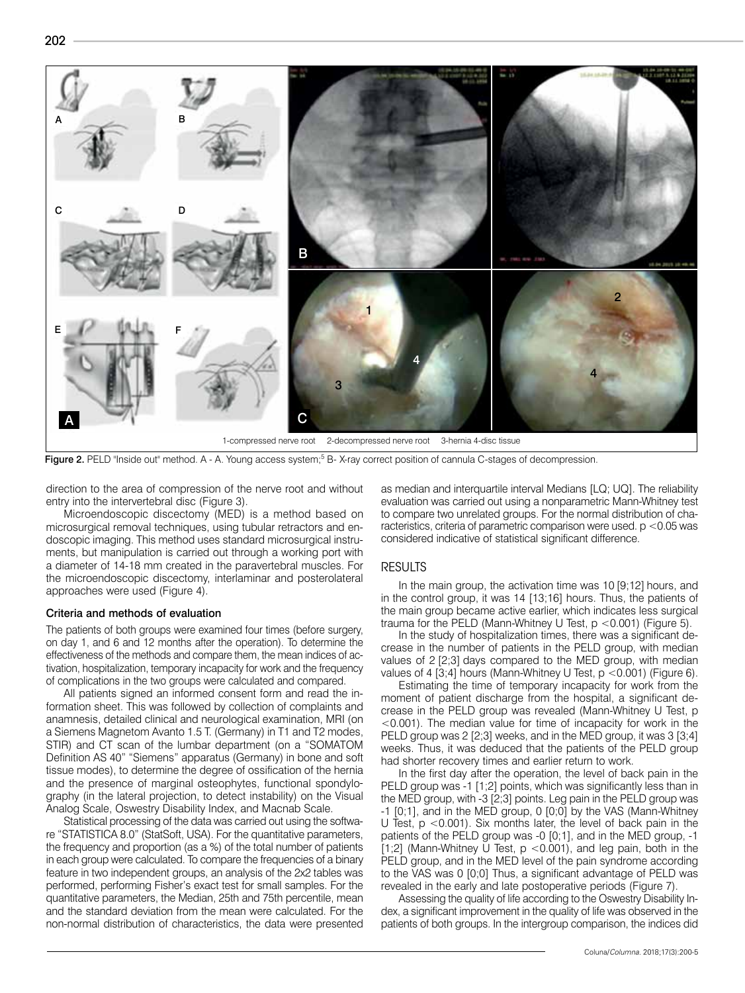

Figure 2. PELD "Inside out" method. A - A. Young access system;<sup>5</sup> B- X-ray correct position of cannula C-stages of decompression.

direction to the area of compression of the nerve root and without entry into the intervertebral disc (Figure 3).

Microendoscopic discectomy (MED) is a method based on microsurgical removal techniques, using tubular retractors and endoscopic imaging. This method uses standard microsurgical instruments, but manipulation is carried out through a working port with a diameter of 14-18 mm created in the paravertebral muscles. For the microendoscopic discectomy, interlaminar and posterolateral approaches were used (Figure 4).

#### Criteria and methods of evaluation

The patients of both groups were examined four times (before surgery, on day 1, and 6 and 12 months after the operation). To determine the effectiveness of the methods and compare them, the mean indices of activation, hospitalization, temporary incapacity for work and the frequency of complications in the two groups were calculated and compared.

All patients signed an informed consent form and read the information sheet. This was followed by collection of complaints and anamnesis, detailed clinical and neurological examination, MRI (on a Siemens Magnetom Avanto 1.5 T. (Germany) in T1 and T2 modes, STIR) and CT scan of the lumbar department (on a "SOMATOM Definition AS 40" "Siemens" apparatus (Germany) in bone and soft tissue modes), to determine the degree of ossification of the hernia and the presence of marginal osteophytes, functional spondylography (in the lateral projection, to detect instability) on the Visual Analog Scale, Oswestry Disability Index, and Macnab Scale.

Statistical processing of the data was carried out using the software "STATISTICA 8.0" (StatSoft, USA). For the quantitative parameters, the frequency and proportion (as a %) of the total number of patients in each group were calculated. To compare the frequencies of a binary feature in two independent groups, an analysis of the 2x2 tables was performed, performing Fisher's exact test for small samples. For the quantitative parameters, the Median, 25th and 75th percentile, mean and the standard deviation from the mean were calculated. For the non-normal distribution of characteristics, the data were presented

as median and interquartile interval Medians [LQ; UQ]. The reliability evaluation was carried out using a nonparametric Mann-Whitney test to compare two unrelated groups. For the normal distribution of characteristics, criteria of parametric comparison were used.  $p < 0.05$  was considered indicative of statistical significant difference.

## RESULTS

In the main group, the activation time was 10 [9;12] hours, and in the control group, it was 14 [13;16] hours. Thus, the patients of the main group became active earlier, which indicates less surgical trauma for the PELD (Mann-Whitney U Test,  $p < 0.001$ ) (Figure 5).

In the study of hospitalization times, there was a significant decrease in the number of patients in the PELD group, with median values of 2 [2;3] days compared to the MED group, with median values of 4 [3;4] hours (Mann-Whitney U Test, p <0.001) (Figure 6).

Estimating the time of temporary incapacity for work from the moment of patient discharge from the hospital, a significant decrease in the PELD group was revealed (Mann-Whitney U Test, p <0.001). The median value for time of incapacity for work in the PELD group was 2 [2;3] weeks, and in the MED group, it was 3 [3;4] weeks. Thus, it was deduced that the patients of the PELD group had shorter recovery times and earlier return to work.

In the first day after the operation, the level of back pain in the PELD group was -1 [1;2] points, which was significantly less than in the MED group, with -3 [2;3] points. Leg pain in the PELD group was -1 [0;1], and in the MED group, 0 [0;0] by the VAS (Mann-Whitney U Test, p <0.001). Six months later, the level of back pain in the patients of the PELD group was -0 [0;1], and in the MED group, -1 [1;2] (Mann-Whitney  $\overline{U}$  Test,  $p < 0.001$ ), and leg pain, both in the PELD group, and in the MED level of the pain syndrome according to the VAS was 0 [0;0] Thus, a significant advantage of PELD was revealed in the early and late postoperative periods (Figure 7).

Assessing the quality of life according to the Oswestry Disability Index, a significant improvement in the quality of life was observed in the patients of both groups. In the intergroup comparison, the indices did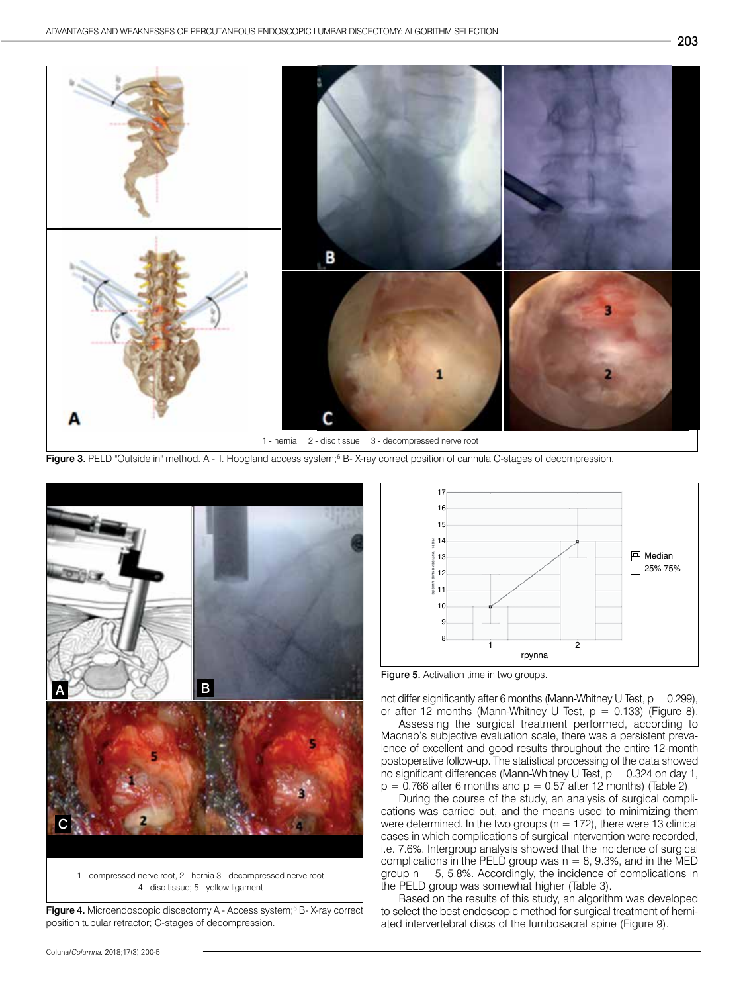

Figure 3. PELD "Outside in" method. A - T. Hoogland access system;<sup>6</sup> B- X-ray correct position of cannula C-stages of decompression.

С

1 - hernia 2 - disc tissue 3 - decompressed nerve root



Figure 4. Microendoscopic discectomy A - Access system;<sup>6</sup> B-X-ray correct position tubular retractor; C-stages of decompression.



Figure 5. Activation time in two groups.

not differ significantly after 6 months (Mann-Whitney U Test,  $p = 0.299$ ), or after 12 months (Mann-Whitney U Test,  $p = 0.133$ ) (Figure 8).

Assessing the surgical treatment performed, according to Macnab's subjective evaluation scale, there was a persistent prevalence of excellent and good results throughout the entire 12-month postoperative follow-up. The statistical processing of the data showed no significant differences (Mann-Whitney U Test,  $p = 0.324$  on day 1,  $p = 0.766$  after 6 months and  $p = 0.57$  after 12 months) (Table 2).

During the course of the study, an analysis of surgical complications was carried out, and the means used to minimizing them were determined. In the two groups ( $n = 172$ ), there were 13 clinical cases in which complications of surgical intervention were recorded, i.e. 7.6%. Intergroup analysis showed that the incidence of surgical complications in the PELD group was  $n = 8$ , 9.3%, and in the MED group n = 5, 5.8%. Accordingly, the incidence of complications in the PELD group was somewhat higher (Table 3).

Based on the results of this study, an algorithm was developed to select the best endoscopic method for surgical treatment of herniated intervertebral discs of the lumbosacral spine (Figure 9).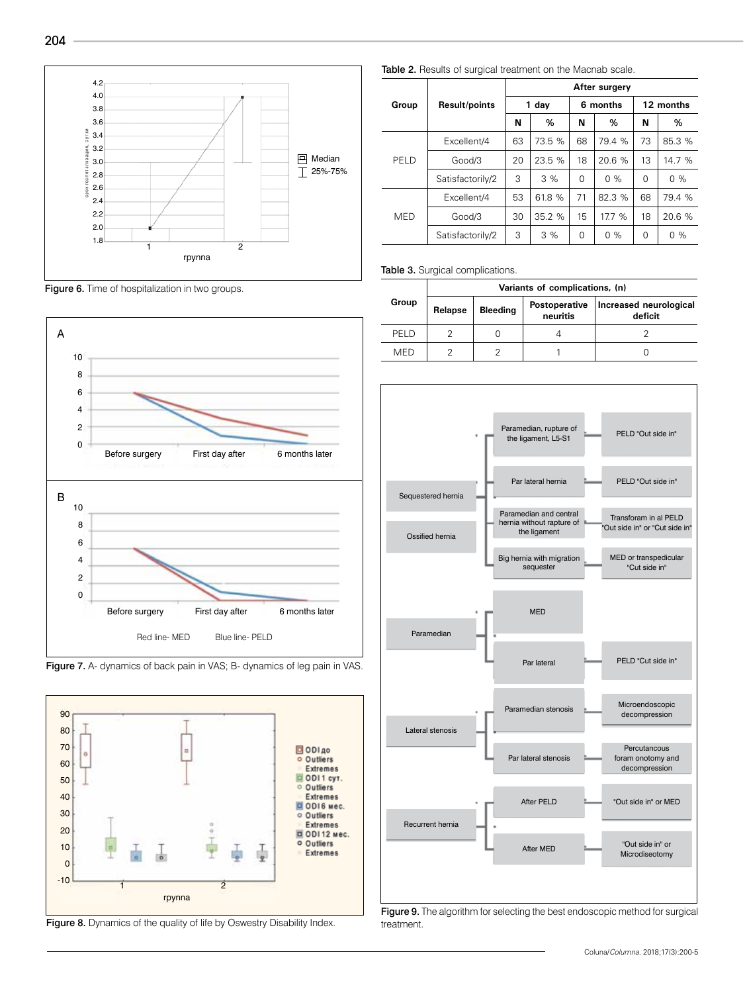

Figure 6. Time of hospitalization in two groups.







Figure 8. Dynamics of the quality of life by Oswestry Disability Index.

Table 2. Results of surgical treatment on the Macnab scale.

|            | <b>Result/points</b> | After surgery |        |          |           |           |           |
|------------|----------------------|---------------|--------|----------|-----------|-----------|-----------|
| Group      |                      | 1 day         |        | 6 months |           | 12 months |           |
|            |                      | N             | %      | N        | %         | N         | %         |
|            | Excellent/4          | 63            | 73.5 % | 68       | 79.4 %    | 73        | 85.3 %    |
| PELD       | Good/3               | 20            | 23.5 % | 18       | 20.6 %    | 13        | 14.7 %    |
|            | Satisfactorily/2     | 3             | 3%     | $\Omega$ | $0\%$     | 0         | $0\%$     |
|            | Excellent/4          | 53            | 61.8 % | 71       | 82.3 %    | 68        | 79.4 %    |
| <b>MED</b> | Good/3               | 30            | 35.2 % | 15       | 17.7 %    | 18        | 20.6 %    |
|            | Satisfactorily/2     | 3             | 3%     | $\Omega$ | 0<br>$\%$ | 0         | $\%$<br>0 |

#### Table 3. Surgical complications.

|  |            | Variants of complications, (n) |                 |                           |                                   |  |  |
|--|------------|--------------------------------|-----------------|---------------------------|-----------------------------------|--|--|
|  | Group      | Relapse                        | <b>Bleeding</b> | Postoperative<br>neuritis | Increased neurological<br>deficit |  |  |
|  | PFI D      |                                |                 |                           |                                   |  |  |
|  | <b>MED</b> |                                |                 |                           |                                   |  |  |



Figure 9. The algorithm for selecting the best endoscopic method for surgical treatment.